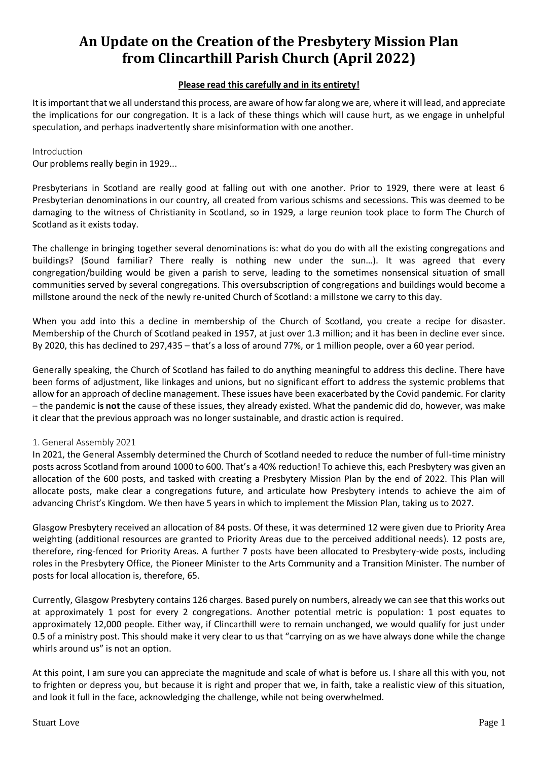# **An Update on the Creation of the Presbytery Mission Plan from Clincarthill Parish Church (April 2022)**

# **Please read this carefully and in its entirety!**

It is important that we all understand this process, are aware of how far along we are, where it will lead, and appreciate the implications for our congregation. It is a lack of these things which will cause hurt, as we engage in unhelpful speculation, and perhaps inadvertently share misinformation with one another.

## Introduction

Our problems really begin in 1929...

Presbyterians in Scotland are really good at falling out with one another. Prior to 1929, there were at least 6 Presbyterian denominations in our country, all created from various schisms and secessions. This was deemed to be damaging to the witness of Christianity in Scotland, so in 1929, a large reunion took place to form The Church of Scotland as it exists today.

The challenge in bringing together several denominations is: what do you do with all the existing congregations and buildings? (Sound familiar? There really is nothing new under the sun…). It was agreed that every congregation/building would be given a parish to serve, leading to the sometimes nonsensical situation of small communities served by several congregations. This oversubscription of congregations and buildings would become a millstone around the neck of the newly re-united Church of Scotland: a millstone we carry to this day.

When you add into this a decline in membership of the Church of Scotland, you create a recipe for disaster. Membership of the Church of Scotland peaked in 1957, at just over 1.3 million; and it has been in decline ever since. By 2020, this has declined to 297,435 – that's a loss of around 77%, or 1 million people, over a 60 year period.

Generally speaking, the Church of Scotland has failed to do anything meaningful to address this decline. There have been forms of adjustment, like linkages and unions, but no significant effort to address the systemic problems that allow for an approach of decline management. These issues have been exacerbated by the Covid pandemic. For clarity – the pandemic **is not** the cause of these issues, they already existed. What the pandemic did do, however, was make it clear that the previous approach was no longer sustainable, and drastic action is required.

## 1. General Assembly 2021

In 2021, the General Assembly determined the Church of Scotland needed to reduce the number of full-time ministry posts across Scotland from around 1000 to 600. That's a 40% reduction! To achieve this, each Presbytery was given an allocation of the 600 posts, and tasked with creating a Presbytery Mission Plan by the end of 2022. This Plan will allocate posts, make clear a congregations future, and articulate how Presbytery intends to achieve the aim of advancing Christ's Kingdom. We then have 5 years in which to implement the Mission Plan, taking us to 2027.

Glasgow Presbytery received an allocation of 84 posts. Of these, it was determined 12 were given due to Priority Area weighting (additional resources are granted to Priority Areas due to the perceived additional needs). 12 posts are, therefore, ring-fenced for Priority Areas. A further 7 posts have been allocated to Presbytery-wide posts, including roles in the Presbytery Office, the Pioneer Minister to the Arts Community and a Transition Minister. The number of posts for local allocation is, therefore, 65.

Currently, Glasgow Presbytery contains 126 charges. Based purely on numbers, already we can see that this works out at approximately 1 post for every 2 congregations. Another potential metric is population: 1 post equates to approximately 12,000 people. Either way, if Clincarthill were to remain unchanged, we would qualify for just under 0.5 of a ministry post. This should make it very clear to us that "carrying on as we have always done while the change whirls around us" is not an option.

At this point, I am sure you can appreciate the magnitude and scale of what is before us. I share all this with you, not to frighten or depress you, but because it is right and proper that we, in faith, take a realistic view of this situation, and look it full in the face, acknowledging the challenge, while not being overwhelmed.